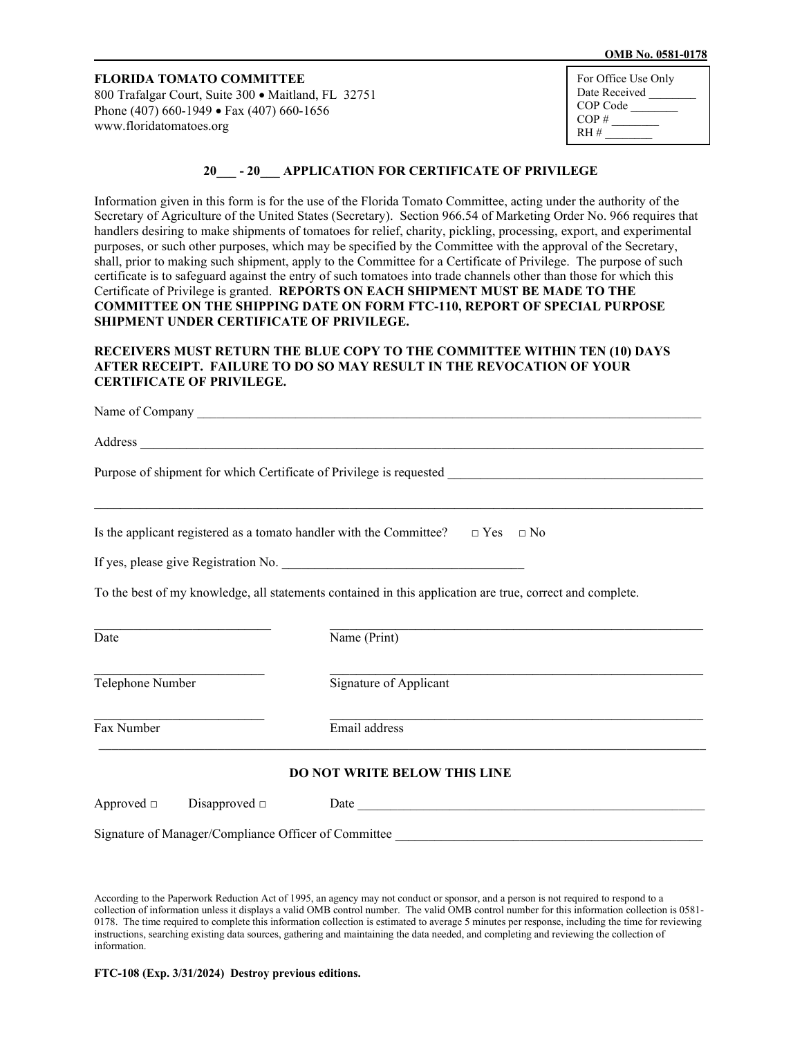#### **OMB No. 0581-0178**

### **FLORIDA TOMATO COMMITTEE** 800 Trafalgar Court, Suite 300 • Maitland, FL 32751 Phone (407) 660-1949 • Fax (407) 660-1656

[www.floridatomatoes.org](http://www.floridatomatoes.org/)

| For Office Use Only |
|---------------------|
| Date Received       |
| COP Code            |
| $COP \#$            |
| $RH$ #              |

# **20\_\_\_ - 20\_\_\_ APPLICATION FOR CERTIFICATE OF PRIVILEGE**

Information given in this form is for the use of the Florida Tomato Committee, acting under the authority of the Secretary of Agriculture of the United States (Secretary). Section 966.54 of Marketing Order No. 966 requires that handlers desiring to make shipments of tomatoes for relief, charity, pickling, processing, export, and experimental purposes, or such other purposes, which may be specified by the Committee with the approval of the Secretary, shall, prior to making such shipment, apply to the Committee for a Certificate of Privilege. The purpose of such certificate is to safeguard against the entry of such tomatoes into trade channels other than those for which this Certificate of Privilege is granted. **REPORTS ON EACH SHIPMENT MUST BE MADE TO THE COMMITTEE ON THE SHIPPING DATE ON FORM FTC-110, REPORT OF SPECIAL PURPOSE SHIPMENT UNDER CERTIFICATE OF PRIVILEGE.**

### **RECEIVERS MUST RETURN THE BLUE COPY TO THE COMMITTEE WITHIN TEN (10) DAYS AFTER RECEIPT. FAILURE TO DO SO MAY RESULT IN THE REVOCATION OF YOUR CERTIFICATE OF PRIVILEGE.**

| Is the applicant registered as a tomato handler with the Committee? $\Box$ Yes $\Box$ No                  | <u> 1989 - Johann Stoff, amerikansk politiker (d. 1989)</u>                                                                                                                                           |  |
|-----------------------------------------------------------------------------------------------------------|-------------------------------------------------------------------------------------------------------------------------------------------------------------------------------------------------------|--|
|                                                                                                           |                                                                                                                                                                                                       |  |
| To the best of my knowledge, all statements contained in this application are true, correct and complete. |                                                                                                                                                                                                       |  |
| Date                                                                                                      | Name (Print)                                                                                                                                                                                          |  |
| Telephone Number                                                                                          | Signature of Applicant                                                                                                                                                                                |  |
| Fax Number                                                                                                | <u> 1989 - Johann Stoff, deutscher Stoff, der Stoff, der Stoff, der Stoff, der Stoff, der Stoff, der Stoff, der S</u><br>Email address<br><u> 1989 - Johann Stoff, amerikansk politiker (d. 1989)</u> |  |
| DO NOT WRITE BELOW THIS LINE                                                                              |                                                                                                                                                                                                       |  |
|                                                                                                           |                                                                                                                                                                                                       |  |
|                                                                                                           |                                                                                                                                                                                                       |  |

According to the Paperwork Reduction Act of 1995, an agency may not conduct or sponsor, and a person is not required to respond to a collection of information unless it displays a valid OMB control number. The valid OMB control number for this information collection is 0581- 0178. The time required to complete this information collection is estimated to average 5 minutes per response, including the time for reviewing instructions, searching existing data sources, gathering and maintaining the data needed, and completing and reviewing the collection of information.